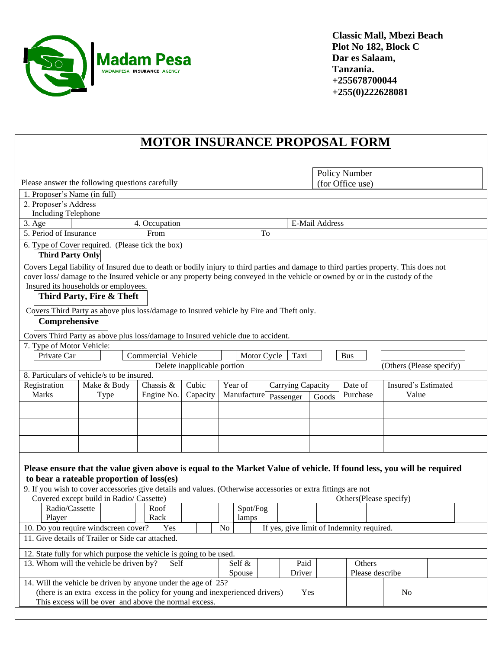

**Classic Mall, Mbezi Beach Plot No 182, Block C Dar es Salaam, Tanzania. +255678700044 +255(0)222628081**

## **MOTOR INSURANCE PROPOSAL FORM**

|                                                                                                                     | Policy Number                                                                                                                        |                        |                             |                   |                                           |                    |                |                  |                          |       |  |  |
|---------------------------------------------------------------------------------------------------------------------|--------------------------------------------------------------------------------------------------------------------------------------|------------------------|-----------------------------|-------------------|-------------------------------------------|--------------------|----------------|------------------|--------------------------|-------|--|--|
| Please answer the following questions carefully                                                                     |                                                                                                                                      |                        |                             |                   |                                           |                    |                | (for Office use) |                          |       |  |  |
| 1. Proposer's Name (in full)                                                                                        |                                                                                                                                      |                        |                             |                   |                                           |                    |                |                  |                          |       |  |  |
| 2. Proposer's Address                                                                                               |                                                                                                                                      |                        |                             |                   |                                           |                    |                |                  |                          |       |  |  |
| <b>Including Telephone</b>                                                                                          |                                                                                                                                      |                        |                             |                   |                                           |                    |                |                  |                          |       |  |  |
| 3. Age                                                                                                              |                                                                                                                                      | 4. Occupation          |                             |                   |                                           |                    | E-Mail Address |                  |                          |       |  |  |
| 5. Period of Insurance                                                                                              |                                                                                                                                      | From                   |                             |                   | To                                        |                    |                |                  |                          |       |  |  |
| <b>Third Party Only</b>                                                                                             | 6. Type of Cover required. (Please tick the box)                                                                                     |                        |                             |                   |                                           |                    |                |                  |                          |       |  |  |
|                                                                                                                     | Covers Legal liability of Insured due to death or bodily injury to third parties and damage to third parties property. This does not |                        |                             |                   |                                           |                    |                |                  |                          |       |  |  |
|                                                                                                                     | cover loss/ damage to the Insured vehicle or any property being conveyed in the vehicle or owned by or in the custody of the         |                        |                             |                   |                                           |                    |                |                  |                          |       |  |  |
|                                                                                                                     | Insured its households or employees.                                                                                                 |                        |                             |                   |                                           |                    |                |                  |                          |       |  |  |
| Third Party, Fire & Theft                                                                                           |                                                                                                                                      |                        |                             |                   |                                           |                    |                |                  |                          |       |  |  |
| Covers Third Party as above plus loss/damage to Insured vehicle by Fire and Theft only.                             |                                                                                                                                      |                        |                             |                   |                                           |                    |                |                  |                          |       |  |  |
| Comprehensive                                                                                                       |                                                                                                                                      |                        |                             |                   |                                           |                    |                |                  |                          |       |  |  |
|                                                                                                                     | Covers Third Party as above plus loss/damage to Insured vehicle due to accident.                                                     |                        |                             |                   |                                           |                    |                |                  |                          |       |  |  |
| 7. Type of Motor Vehicle:                                                                                           |                                                                                                                                      |                        |                             |                   |                                           |                    |                |                  |                          |       |  |  |
| Private Car                                                                                                         |                                                                                                                                      | Commercial Vehicle     |                             | Motor Cycle       |                                           | Taxi               |                | <b>Bus</b>       |                          |       |  |  |
|                                                                                                                     |                                                                                                                                      |                        | Delete inapplicable portion |                   |                                           |                    |                |                  | (Others (Please specify) |       |  |  |
|                                                                                                                     | 8. Particulars of vehicle/s to be insured.                                                                                           |                        |                             |                   |                                           |                    |                |                  |                          |       |  |  |
| Chassis &<br>Cubic<br>Insured's Estimated<br>Registration<br>Make & Body<br>Year of<br>Date of<br>Carrying Capacity |                                                                                                                                      |                        |                             |                   |                                           |                    |                |                  |                          |       |  |  |
| Marks                                                                                                               | Type                                                                                                                                 | Engine No.<br>Capacity |                             | Manufacture       |                                           | Passenger<br>Goods |                | Purchase         |                          | Value |  |  |
|                                                                                                                     |                                                                                                                                      |                        |                             |                   |                                           |                    |                |                  |                          |       |  |  |
|                                                                                                                     |                                                                                                                                      |                        |                             |                   |                                           |                    |                |                  |                          |       |  |  |
|                                                                                                                     |                                                                                                                                      |                        |                             |                   |                                           |                    |                |                  |                          |       |  |  |
|                                                                                                                     |                                                                                                                                      |                        |                             |                   |                                           |                    |                |                  |                          |       |  |  |
|                                                                                                                     |                                                                                                                                      |                        |                             |                   |                                           |                    |                |                  |                          |       |  |  |
|                                                                                                                     | Please ensure that the value given above is equal to the Market Value of vehicle. If found less, you will be required                |                        |                             |                   |                                           |                    |                |                  |                          |       |  |  |
|                                                                                                                     | to bear a rateable proportion of loss(es)                                                                                            |                        |                             |                   |                                           |                    |                |                  |                          |       |  |  |
|                                                                                                                     | 9. If you wish to cover accessories give details and values. (Otherwise accessories or extra fittings are not                        |                        |                             |                   |                                           |                    |                |                  |                          |       |  |  |
| Covered except build in Radio/ Cassette)                                                                            |                                                                                                                                      |                        |                             |                   |                                           |                    |                |                  | Others(Please specify)   |       |  |  |
| Radio/Cassette                                                                                                      |                                                                                                                                      | Roof<br>Rack           |                             | Spot/Fog<br>lamps |                                           |                    |                |                  |                          |       |  |  |
| Player<br>10. Do you require windscreen cover?                                                                      |                                                                                                                                      | N <sub>o</sub>         |                             |                   | If yes, give limit of Indemnity required. |                    |                |                  |                          |       |  |  |
|                                                                                                                     | 11. Give details of Trailer or Side car attached.                                                                                    | Yes                    |                             |                   |                                           |                    |                |                  |                          |       |  |  |
|                                                                                                                     |                                                                                                                                      |                        |                             |                   |                                           |                    |                |                  |                          |       |  |  |
|                                                                                                                     | 12. State fully for which purpose the vehicle is going to be used.                                                                   |                        |                             |                   |                                           |                    |                |                  |                          |       |  |  |
| 13. Whom will the vehicle be driven by?                                                                             |                                                                                                                                      | Self                   |                             | Self &<br>Spouse  |                                           | Paid<br>Driver     |                | Others           | Please describe          |       |  |  |
|                                                                                                                     | 14. Will the vehicle be driven by anyone under the age of 25?                                                                        |                        |                             |                   |                                           |                    |                |                  |                          |       |  |  |
|                                                                                                                     | (there is an extra excess in the policy for young and inexperienced drivers)                                                         |                        |                             |                   |                                           | Yes                |                |                  | N <sub>0</sub>           |       |  |  |
|                                                                                                                     | This excess will be over and above the normal excess.                                                                                |                        |                             |                   |                                           |                    |                |                  |                          |       |  |  |
|                                                                                                                     |                                                                                                                                      |                        |                             |                   |                                           |                    |                |                  |                          |       |  |  |